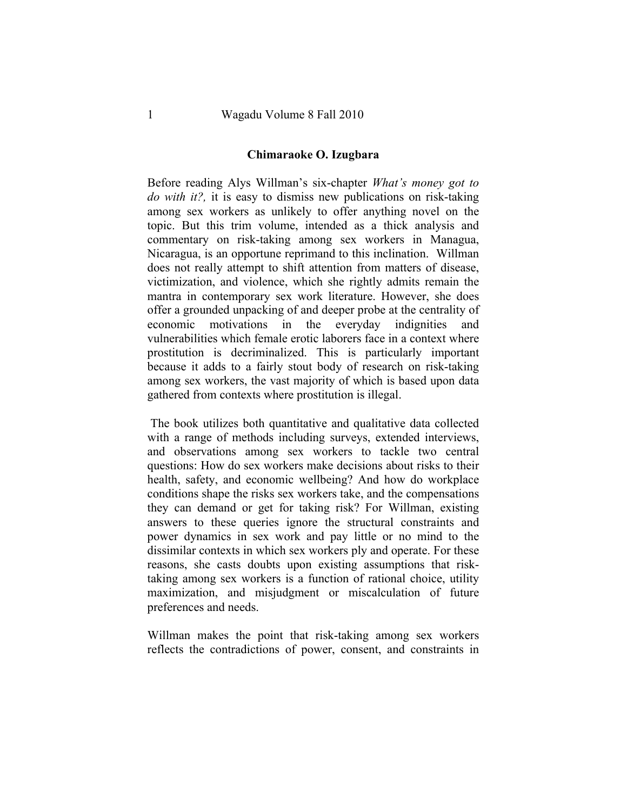## **Chimaraoke O. Izugbara**

Before reading Alys Willman's six-chapter *What's money got to do with it?,* it is easy to dismiss new publications on risk-taking among sex workers as unlikely to offer anything novel on the topic. But this trim volume, intended as a thick analysis and commentary on risk-taking among sex workers in Managua, Nicaragua, is an opportune reprimand to this inclination. Willman does not really attempt to shift attention from matters of disease, victimization, and violence, which she rightly admits remain the mantra in contemporary sex work literature. However, she does offer a grounded unpacking of and deeper probe at the centrality of economic motivations in the everyday indignities and vulnerabilities which female erotic laborers face in a context where prostitution is decriminalized. This is particularly important because it adds to a fairly stout body of research on risk-taking among sex workers, the vast majority of which is based upon data gathered from contexts where prostitution is illegal.

The book utilizes both quantitative and qualitative data collected with a range of methods including surveys, extended interviews, and observations among sex workers to tackle two central questions: How do sex workers make decisions about risks to their health, safety, and economic wellbeing? And how do workplace conditions shape the risks sex workers take, and the compensations they can demand or get for taking risk? For Willman, existing answers to these queries ignore the structural constraints and power dynamics in sex work and pay little or no mind to the dissimilar contexts in which sex workers ply and operate. For these reasons, she casts doubts upon existing assumptions that risktaking among sex workers is a function of rational choice, utility maximization, and misjudgment or miscalculation of future preferences and needs.

Willman makes the point that risk-taking among sex workers reflects the contradictions of power, consent, and constraints in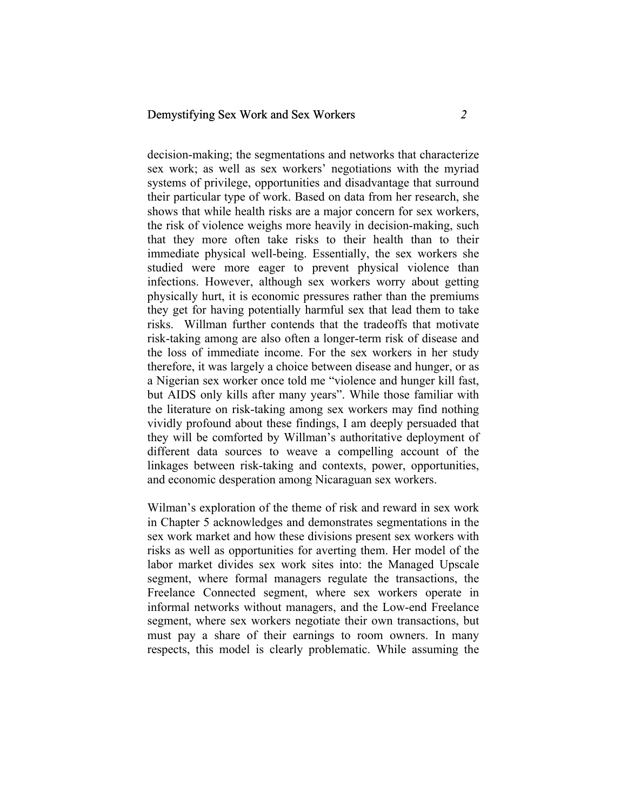## Demystifying Sex Work and Sex Workers *2*

decision-making; the segmentations and networks that characterize sex work; as well as sex workers' negotiations with the myriad systems of privilege, opportunities and disadvantage that surround their particular type of work. Based on data from her research, she shows that while health risks are a major concern for sex workers, the risk of violence weighs more heavily in decision-making, such that they more often take risks to their health than to their immediate physical well-being. Essentially, the sex workers she studied were more eager to prevent physical violence than infections. However, although sex workers worry about getting physically hurt, it is economic pressures rather than the premiums they get for having potentially harmful sex that lead them to take risks. Willman further contends that the tradeoffs that motivate risk-taking among are also often a longer-term risk of disease and the loss of immediate income. For the sex workers in her study therefore, it was largely a choice between disease and hunger, or as a Nigerian sex worker once told me "violence and hunger kill fast, but AIDS only kills after many years". While those familiar with the literature on risk-taking among sex workers may find nothing vividly profound about these findings, I am deeply persuaded that they will be comforted by Willman's authoritative deployment of different data sources to weave a compelling account of the linkages between risk-taking and contexts, power, opportunities, and economic desperation among Nicaraguan sex workers.

Wilman's exploration of the theme of risk and reward in sex work in Chapter 5 acknowledges and demonstrates segmentations in the sex work market and how these divisions present sex workers with risks as well as opportunities for averting them. Her model of the labor market divides sex work sites into: the Managed Upscale segment, where formal managers regulate the transactions, the Freelance Connected segment, where sex workers operate in informal networks without managers, and the Low-end Freelance segment, where sex workers negotiate their own transactions, but must pay a share of their earnings to room owners. In many respects, this model is clearly problematic. While assuming the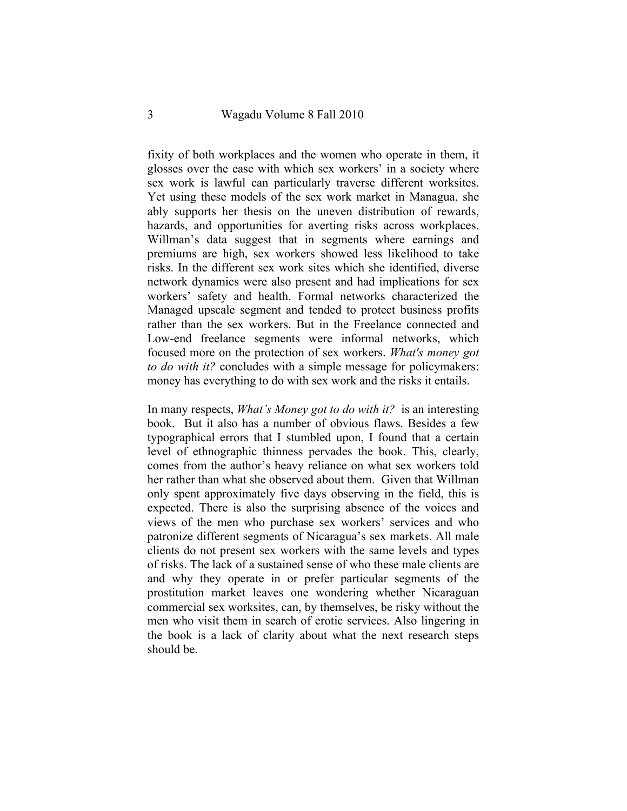fixity of both workplaces and the women who operate in them, it glosses over the ease with which sex workers' in a society where sex work is lawful can particularly traverse different worksites. Yet using these models of the sex work market in Managua, she ably supports her thesis on the uneven distribution of rewards, hazards, and opportunities for averting risks across workplaces. Willman's data suggest that in segments where earnings and premiums are high, sex workers showed less likelihood to take risks. In the different sex work sites which she identified, diverse network dynamics were also present and had implications for sex workers' safety and health. Formal networks characterized the Managed upscale segment and tended to protect business profits rather than the sex workers. But in the Freelance connected and Low-end freelance segments were informal networks, which focused more on the protection of sex workers. *What's money got to do with it?* concludes with a simple message for policymakers: money has everything to do with sex work and the risks it entails.

In many respects, *What's Money got to do with it?* is an interesting book. But it also has a number of obvious flaws. Besides a few typographical errors that I stumbled upon, I found that a certain level of ethnographic thinness pervades the book. This, clearly, comes from the author's heavy reliance on what sex workers told her rather than what she observed about them. Given that Willman only spent approximately five days observing in the field, this is expected. There is also the surprising absence of the voices and views of the men who purchase sex workers' services and who patronize different segments of Nicaragua's sex markets. All male clients do not present sex workers with the same levels and types of risks. The lack of a sustained sense of who these male clients are and why they operate in or prefer particular segments of the prostitution market leaves one wondering whether Nicaraguan commercial sex worksites, can, by themselves, be risky without the men who visit them in search of erotic services. Also lingering in the book is a lack of clarity about what the next research steps should be.